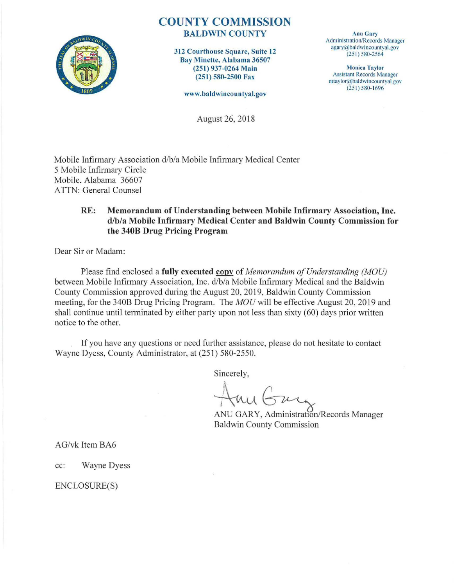

## COUNTY COMMISSION BALDWIN COUNTY

312 Courthouse Square, Suite 12 Bay Minette, Alabama 36507 (251) 937-0264 Main (251) 580-2500 Fax

www.baldwincountyal.gov

August 26, 2018

Anu Gary Administration/Records Manager agary@baldwincountyal.gov (25 1) 580-2564

**Monica Taylor** Assistant Records Manager mtaylor@baldwincountyal.gov  $(251) 580 - 1696$ 

Mobile Infirmary Association d/b/a Mobile Infirmary Medical Center 5 Mobile Infirmary Circle Mobile, Alabama 36607 ATTN: General Counsel

### RE: Memorandum of Understanding between Mobile Infirmary Association, Inc. d/b/a Mobile Infirmary Medical Center and Baldwin County Commission for the 340B Drug Pricing Program

Dear Sir or Madam:

Please find enclosed a fully executed copy of *Memorandum of Understanding (MOU)* between Mobile Infirmary Association, Inc. d/b/a Mobile Infirmary Medical and the Baldwin County Commission approved during the August 20, 2019, Baldwin County Commission meeting, for the 340B Drug Pricing Program. The *MOU* will be effective August 20, 2019 and shall continue until terminated by either party upon not less than sixty (60) days prior written notice to the other.

If you have any questions or need further assistance, please do not hesitate to contact Wayne Dyess, County Administrator, at (251) 580-2550.

Sincerely,

ANU GARY, Administration/Records Manager Baldwin County Commission

AG/vk Item BA6

cc: Wayne Dyess

ENCLOSURE(S)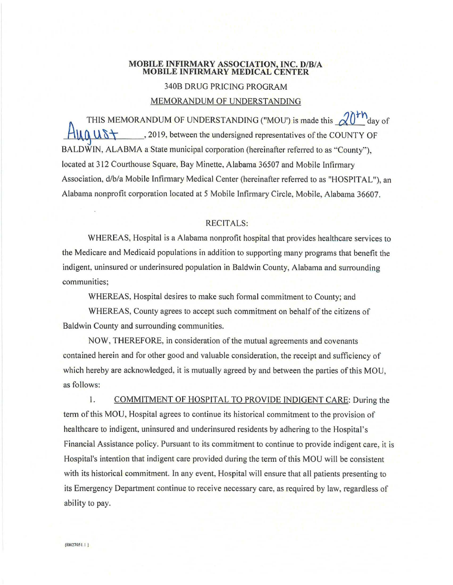#### MOBILE INFIRMARY ASSOCIATION, INC. D/B/A MOBILE INFIRMARY MEDICAL CENTER

#### 340B DRUG PRICING PROGRAM

#### MEMORANDUM OF UNDERSTANDING

THIS MEMORANDUM OF UNDERSTANDING ("MOU") is made this  $\sqrt{0}$ <sup>th</sup>day of  $\mathbf{u} \cap \mathbf{u} \cap \mathbf{v}$ , 2019, between the undersigned representatives of the COUNTY OF BALDWIN, ALABMA a State municipal corporation (hereinafter referred to as "County"). located at 312 Courthouse Square, Bay Minette, Alabama 36507 and Mobile Lnfirmary Association, d/b/a Mobile Infirmary Medical Center (hereinafter referred to as "HOSPITAL"), an Alabama nonprofit corporation located at 5 Mobile Infirmary Circle, Mobile, Alabama 36607.

#### RECITALS:

WHEREAS, Hospital is a Alabama nonprofit hospital that provides healthcare services to the Medicare and Medicaid populations in addition to suppotting many programs that benefit the indigent, uninsured or underinsured population in Baldwin County, Alabama and surrounding communities;

WHEREAS, Hospital desires to make such formal commitment to County; and

WHEREAS, County agrees to accept such commitment on behalf of the citizens of Baldwin County and surrounding communities.

NOW, THEREFORE, in consideration of the mutual agreements and covenants contained herein and for other good and valuable consideration, the receipt and sufficiency of which hereby are acknowledged, it is mutually agreed by and between the parties of this MOU, as follows:

l . COMMITMENT OF HOSPITAL TO PROVIDE INDIGENT CARE: During the term of this MOU, Hospital agrees to continue its historical commitment to the provision of healthcare to indigent, uninsured and underinsured residents by adhering to the Hospital's Financial Assistance policy. Pursuant to its commitment to continue to provide indigent care, it is Hospital's intention that indigent care provided during the term of this MOU will be consistent with its historical commitment. In any event, Hospital will ensure that all patients presenting to its Emergency Depattment continue to receive necessary care, as required by law, regardless of ability to pay.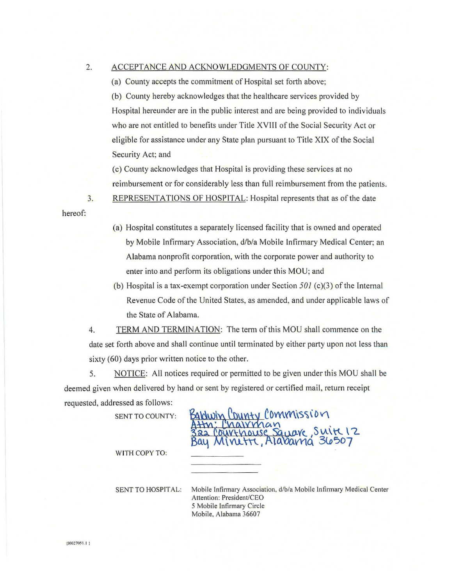#### 2. ACCEPTANCE AND ACKNOWLEDGMENTS OF COUNTY:

(a) County accepts the commitment of Hospital set forth above;

(b) County hereby acknowledges that the healthcare services provided by Hospital hereunder are in the public interest and are being provided to individuals who are not entitled to benefits under Title XVIII of the Social Security Act or eligible for assistance under any State plan pursuant to Title XIX of the Social Security Act; and

(c) County acknowledges that Hospital is providing these services at no reimbursement or for considerably less than full reimbursement from the patients.

3. REPRESENTATIONS OF HOSPITAL: Hospital represents that as of the date

- (a) Hospital constitutes a separately licensed facility that is owned and operated by Mobile Infirmary Association, d/b/a Mobile Infirmary Medical Center; an Alabama nonprofit corporation, with the corporate power and authority to enter into and perform its obligations under this MOU; and
- (b) Hospital is a tax-exempt corporation under Section *501* (c)(3) of the Internal Revenue Code of the United States, as amended, and under applicable laws of the State of Alabama.

4. TERM AND TERMINATION: The term ofthis MOU shall commence on the date set forth above and shall continue until terminated by either party upon not less than sixty (60) days prior written notice to the other.

5. NOTICE: All notices required or permitted to be given under this MOU shall be deemed given when delivered by hand or sent by registered or certified mail, return receipt requested, addressed as follows:

SENT TO COUNTY:

# County Commission ouse Sauare, Suite 12 Alabama 36507

WITH COPY TO:

SENT TO HOSPITAL: Mobile Infirmary Association, d/b/a Mobile Infirmary Medical Center Attention: President/CEO 5 Mobile Infirmary Circle Mobile, Alabama 36607

hereof: